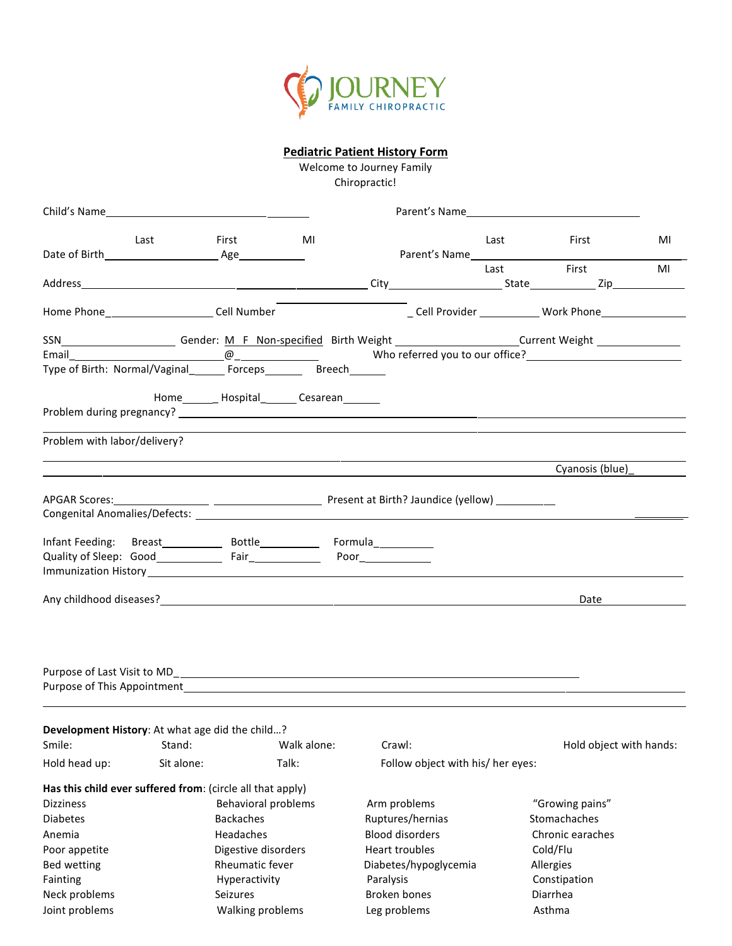

## **Pediatric Patient History Form**

Welcome to Journey Family Chiropractic!

| Child's Name                                               |                                                                                                                      |                                                   |             |              |                                                                                                                                                                                                                                |      | Parent's Name                                                          |    |
|------------------------------------------------------------|----------------------------------------------------------------------------------------------------------------------|---------------------------------------------------|-------------|--------------|--------------------------------------------------------------------------------------------------------------------------------------------------------------------------------------------------------------------------------|------|------------------------------------------------------------------------|----|
|                                                            | Last                                                                                                                 | First                                             | MI          |              | Parent's Name and the state of the state of the state of the state of the state of the state of the state of the state of the state of the state of the state of the state of the state of the state of the state of the state | Last | First                                                                  | MI |
|                                                            |                                                                                                                      |                                                   |             |              |                                                                                                                                                                                                                                | Last | First                                                                  | MI |
| Home Phone___________________________Cell Number           |                                                                                                                      |                                                   |             |              |                                                                                                                                                                                                                                |      | Cell Provider Mork Phone                                               |    |
|                                                            |                                                                                                                      |                                                   |             |              |                                                                                                                                                                                                                                |      |                                                                        |    |
|                                                            |                                                                                                                      |                                                   |             |              |                                                                                                                                                                                                                                |      |                                                                        |    |
|                                                            |                                                                                                                      |                                                   |             |              |                                                                                                                                                                                                                                |      |                                                                        |    |
|                                                            |                                                                                                                      | Home_________ Hospital_________ Cesarean_________ |             |              |                                                                                                                                                                                                                                |      |                                                                        |    |
| Problem with labor/delivery?                               |                                                                                                                      |                                                   |             |              |                                                                                                                                                                                                                                |      | <u> 1989 - Jan Samuel Barbara, margaret eta politikaria (h. 1989).</u> |    |
|                                                            | <u> 1989 - Andrea Santa Andrea Santa Andrea Santa Andrea Santa Andrea Santa Andrea Santa Andrea Santa Andrea San</u> |                                                   |             |              |                                                                                                                                                                                                                                |      | Cyanosis (blue)                                                        |    |
|                                                            |                                                                                                                      |                                                   |             |              |                                                                                                                                                                                                                                |      |                                                                        |    |
|                                                            |                                                                                                                      |                                                   |             |              |                                                                                                                                                                                                                                |      |                                                                        |    |
|                                                            |                                                                                                                      |                                                   |             |              |                                                                                                                                                                                                                                |      |                                                                        |    |
|                                                            |                                                                                                                      |                                                   |             |              |                                                                                                                                                                                                                                |      |                                                                        |    |
|                                                            |                                                                                                                      |                                                   |             |              |                                                                                                                                                                                                                                |      |                                                                        |    |
|                                                            |                                                                                                                      |                                                   |             |              |                                                                                                                                                                                                                                |      | Date                                                                   |    |
|                                                            |                                                                                                                      |                                                   |             |              |                                                                                                                                                                                                                                |      |                                                                        |    |
|                                                            |                                                                                                                      |                                                   |             |              |                                                                                                                                                                                                                                |      |                                                                        |    |
| Development History: At what age did the child?            |                                                                                                                      |                                                   |             |              |                                                                                                                                                                                                                                |      |                                                                        |    |
| Smile:                                                     | Stand:                                                                                                               |                                                   | Walk alone: | Crawl:       |                                                                                                                                                                                                                                |      | Hold object with hands:                                                |    |
| Hold head up:                                              | Sit alone:                                                                                                           |                                                   | Talk:       |              | Follow object with his/ her eyes:                                                                                                                                                                                              |      |                                                                        |    |
| Has this child ever suffered from: (circle all that apply) |                                                                                                                      |                                                   |             |              |                                                                                                                                                                                                                                |      |                                                                        |    |
| <b>Dizziness</b>                                           |                                                                                                                      | Behavioral problems                               |             |              | Arm problems                                                                                                                                                                                                                   |      | "Growing pains"                                                        |    |
| <b>Diabetes</b>                                            |                                                                                                                      | <b>Backaches</b>                                  |             |              | Ruptures/hernias                                                                                                                                                                                                               |      | Stomachaches                                                           |    |
| Anemia                                                     |                                                                                                                      | Headaches                                         |             |              | <b>Blood disorders</b>                                                                                                                                                                                                         |      | Chronic earaches                                                       |    |
| Poor appetite                                              |                                                                                                                      | Digestive disorders                               |             |              | Heart troubles                                                                                                                                                                                                                 |      | Cold/Flu                                                               |    |
| Bed wetting                                                |                                                                                                                      | Rheumatic fever                                   |             |              | Diabetes/hypoglycemia                                                                                                                                                                                                          |      | Allergies                                                              |    |
| Fainting                                                   |                                                                                                                      | Hyperactivity                                     |             | Paralysis    |                                                                                                                                                                                                                                |      | Constipation                                                           |    |
| Neck problems                                              |                                                                                                                      | Seizures                                          |             | Broken bones |                                                                                                                                                                                                                                |      | Diarrhea                                                               |    |
| Joint problems                                             |                                                                                                                      | Walking problems                                  |             | Leg problems |                                                                                                                                                                                                                                |      | Asthma                                                                 |    |